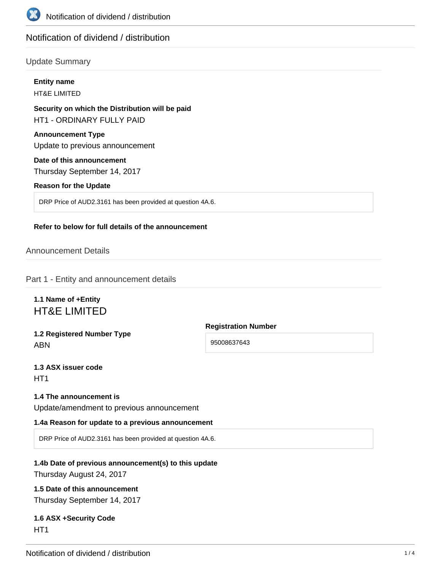

# Notification of dividend / distribution

# Update Summary

|                                                             | <b>Entity name</b><br><b>HT&amp;E LIMITED</b>                                       |
|-------------------------------------------------------------|-------------------------------------------------------------------------------------|
|                                                             | Security on which the Distribution will be paid<br><b>HT1 - ORDINARY FULLY PAID</b> |
| <b>Announcement Type</b><br>Update to previous announcement |                                                                                     |
|                                                             | Date of this announcement<br>Thursday September 14, 2017                            |
|                                                             | <b>Reason for the Update</b>                                                        |
|                                                             | DRP Price of AUD2.3161 has been provided at question 4A.6.                          |

#### **Refer to below for full details of the announcement**

## Announcement Details

Part 1 - Entity and announcement details

# **1.1 Name of +Entity** HT&E LIMITED

**1.2 Registered Number Type** ABN

**Registration Number** 95008637643

**1.3 ASX issuer code** HT<sub>1</sub>

#### **1.4 The announcement is**

Update/amendment to previous announcement

#### **1.4a Reason for update to a previous announcement**

DRP Price of AUD2.3161 has been provided at question 4A.6.

# **1.4b Date of previous announcement(s) to this update**

Thursday August 24, 2017

# **1.5 Date of this announcement**

Thursday September 14, 2017

# **1.6 ASX +Security Code** HT<sub>1</sub>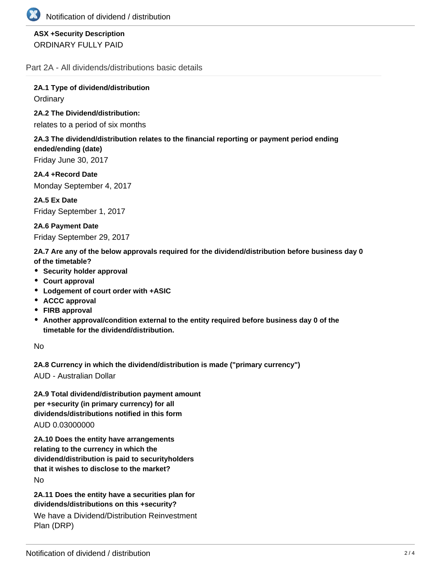

# **ASX +Security Description** ORDINARY FULLY PAID

Part 2A - All dividends/distributions basic details

**2A.1 Type of dividend/distribution Ordinary** 

**2A.2 The Dividend/distribution:**

relates to a period of six months

## **2A.3 The dividend/distribution relates to the financial reporting or payment period ending ended/ending (date)**

Friday June 30, 2017

**2A.4 +Record Date** Monday September 4, 2017

**2A.5 Ex Date** Friday September 1, 2017

**2A.6 Payment Date** Friday September 29, 2017

**2A.7 Are any of the below approvals required for the dividend/distribution before business day 0 of the timetable?**

- **•** Security holder approval
- **Court approval**
- **Lodgement of court order with +ASIC**
- **ACCC approval**
- **FIRB approval**
- **Another approval/condition external to the entity required before business day 0 of the timetable for the dividend/distribution.**

No

**2A.8 Currency in which the dividend/distribution is made ("primary currency")**

AUD - Australian Dollar

**2A.9 Total dividend/distribution payment amount per +security (in primary currency) for all dividends/distributions notified in this form** AUD 0.03000000

**2A.10 Does the entity have arrangements relating to the currency in which the dividend/distribution is paid to securityholders that it wishes to disclose to the market?** No

**2A.11 Does the entity have a securities plan for dividends/distributions on this +security?**

We have a Dividend/Distribution Reinvestment Plan (DRP)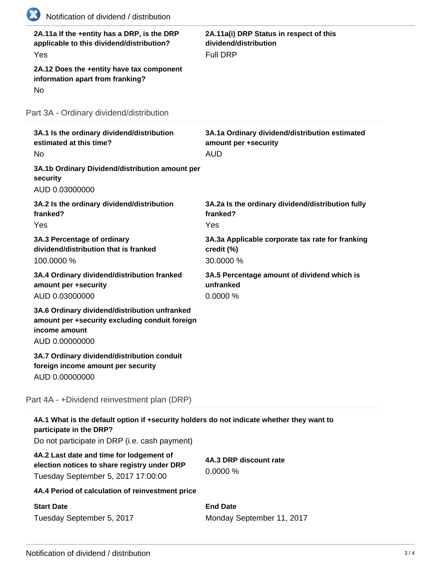| 2A.11a If the +entity has a DRP, is the DRP<br>applicable to this dividend/distribution?<br>Yes                                    | 2A.11a(i) DRP Status in respect of this<br>dividend/distribution<br><b>Full DRP</b>  |
|------------------------------------------------------------------------------------------------------------------------------------|--------------------------------------------------------------------------------------|
| 2A.12 Does the +entity have tax component<br>information apart from franking?<br>No                                                |                                                                                      |
| Part 3A - Ordinary dividend/distribution                                                                                           |                                                                                      |
| 3A.1 Is the ordinary dividend/distribution<br>estimated at this time?<br><b>No</b>                                                 | 3A.1a Ordinary dividend/distribution estimated<br>amount per +security<br><b>AUD</b> |
| 3A.1b Ordinary Dividend/distribution amount per<br>security<br>AUD 0.03000000                                                      |                                                                                      |
| 3A.2 Is the ordinary dividend/distribution<br>franked?<br>Yes                                                                      | 3A.2a Is the ordinary dividend/distribution fully<br>franked?<br>Yes                 |
| 3A.3 Percentage of ordinary<br>dividend/distribution that is franked<br>100.0000 %                                                 | 3A.3a Applicable corporate tax rate for franking<br>credit (%)<br>30.0000 %          |
| 3A.4 Ordinary dividend/distribution franked<br>amount per +security<br>AUD 0.03000000                                              | 3A.5 Percentage amount of dividend which is<br>unfranked<br>0.0000 %                 |
| 3A.6 Ordinary dividend/distribution unfranked<br>amount per +security excluding conduit foreign<br>income amount<br>AUD 0.00000000 |                                                                                      |
| 3A.7 Ordinary dividend/distribution conduit<br>foreign income amount per security<br>AUD 0.00000000                                |                                                                                      |
| Part 4A - +Dividend reinvestment plan (DRP)                                                                                        |                                                                                      |
| 4A.1 What is the default option if +security holders do not indicate whether they want to<br>participate in the DRP?               |                                                                                      |
| Do not participate in DRP (i.e. cash payment)                                                                                      |                                                                                      |
| 4A.2 Last date and time for lodgement of<br>election notices to share registry under DRP<br>Tuesday September 5, 2017 17:00:00     | 4A.3 DRP discount rate<br>0.0000%                                                    |
| 4A.4 Period of calculation of reinvestment price                                                                                   |                                                                                      |
| <b>Start Date</b>                                                                                                                  | <b>End Date</b>                                                                      |

Monday September 11, 2017